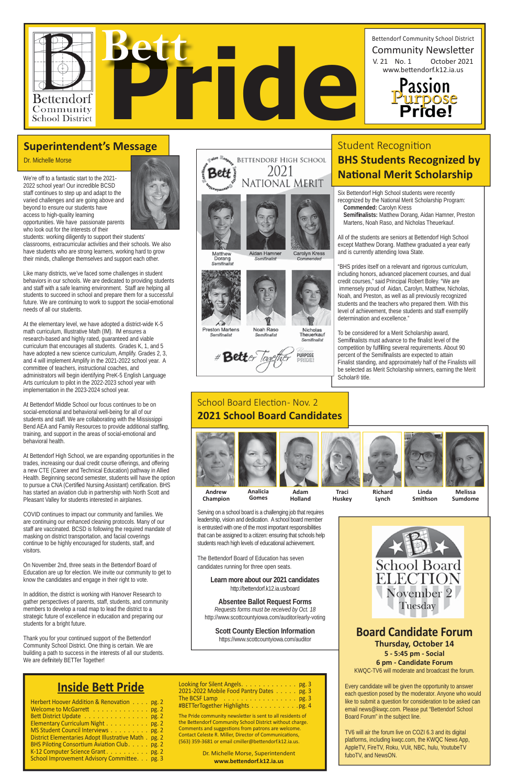Six Bettendorf High School students were recently recognized by the National Merit Scholarship Program:

**Commended:** Carolyn Kress **Semifi nalists:** Matthew Dorang, Aidan Hamner, Preston

Martens, Noah Raso, and Nicholas Theuerkauf.

All of the students are seniors at Bettendorf High School except Matthew Dorang. Matthew graduated a year early and is currently attending Iowa State.

"BHS prides itself on a relevant and rigorous curriculum, including honors, advanced placement courses, and dual credit courses," said Principal Robert Boley. "We are immensely proud of Aidan, Carolyn, Matthew, Nicholas, Noah, and Preston, as well as all previously recognized students and the teachers who prepared them. With this level of achievement, these students and staff exemplify determination and excellence."

To be considered for a Merit Scholarship award, Semifinalists must advance to the finalist level of the competition by fulfilling several requirements. About 90 percent of the Semifinalists are expected to attain Finalist standing, and approximately half of the Finalists will be selected as Merit Scholarship winners, earning the Merit Scholar® title.



# **Inside BeƩ Pride**

| Herbert Hoover Addition & Renovation pg. 2            |  |
|-------------------------------------------------------|--|
| Welcome to McGarrett pg. 2                            |  |
| Bett District Update pg. 2                            |  |
| Elementary Curriculum Night pg. 2                     |  |
| MS Student Council Interviews pg. 2                   |  |
| District Elementaries Adopt Illustrative Math . pg. 2 |  |
| BHS Piloting Consortium Aviation Club. pg. 2          |  |
| K-12 Computer Science Grant. pg. 2                    |  |
| School Improvement Advisory Committee. pg. 3          |  |

| Looking for Silent Angels. pg. 3                                |  |
|-----------------------------------------------------------------|--|
| 2021-2022 Mobile Food Pantry Dates pg. 3                        |  |
| The BCSF Lamp $\ldots \ldots \ldots \ldots \ldots \ldots$ pg. 3 |  |
| #BETTerTogether Highlights pg. 4                                |  |

The Pride community newsletter is sent to all residents of the Bettendorf Community School District without charge. Comments and suggestions from patrons are welcome. Contact Celeste R. Miller, Director of Communications, (563) 359-3681 or email cmiller@bettendorf.k12.ia.us.

> Dr. Michelle Morse, Superintendent **www.beƩ endorf.k12.ia.us**

We're off to a fantastic start to the 2021- 2022 school year! Our incredible BCSD staff continues to step up and adapt to the varied challenges and are going above and beyond to ensure our students have access to high-quality learning opportunities. We have passionate parents who look out for the interests of their

Thank you for your continued support of the Bettendorf Community School District. One thing is certain. We are building a path to success in the interests of all our students. We are definitely BETTer Together!

students: working diligently to support their students' classrooms, extracurricular activities and their schools. We also have students who are strong learners, working hard to grow their minds, challenge themselves and support each other.

Like many districts, we've faced some challenges in student behaviors in our schools. We are dedicated to providing students and staff with a safe learning environment. Staff are helping all students to succeed in school and prepare them for a successful future. We are continuing to work to support the social-emotional needs of all our students.

### School Board Election - Nov. 2 **2021 School Board Candidates**

At the elementary level, we have adopted a district-wide K-5 math curriculum, Illustrative Math (IM). IM ensures a research-based and highly rated, guaranteed and viable curriculum that encourages all students. Grades K, 1, and 5 have adopted a new science curriculum, Amplify. Grades 2, 3, and 4 will implement Amplify in the 2021-2022 school year. A committee of teachers, instructional coaches, and administrators will begin identifying PreK-5 English Language Arts curriculum to pilot in the 2022-2023 school year with implementation in the 2023-2024 school year.

At Bettendorf Middle School our focus continues to be on social-emotional and behavioral well-being for all of our students and staff. We are collaborating with the Mississippi Bend AEA and Family Resources to provide additional staffing, training, and support in the areas of social-emotional and behavioral health.

At Bettendorf High School, we are expanding opportunities in the trades, increasing our dual credit course offerings, and offering a new CTE (Career and Technical Education) pathway in Allied Health. Beginning second semester, students will have the option to pursue a CNA (Certified Nursing Assistant) certification. BHS has started an aviation club in partnership with North Scott and Pleasant Valley for students interested in airplanes.

COVID continues to impact our community and families. We are continuing our enhanced cleaning protocols. Many of our staff are vaccinated. BCSD is following the required mandate of masking on district transportation, and facial coverings continue to be highly encouraged for students, staff, and visitors.

On November 2nd, three seats in the Bettendorf Board of Education are up for election. We invite our community to get to



# # Better PURPOSE

# **Student Recognition BHS Students Recognized by National Merit Scholarship**

know the candidates and engage in their right to vote.

In addition, the district is working with Hanover Research to gather perspectives of parents, staff, students, and community members to develop a road map to lead the district to a strategic future of excellence in education and preparing our students for a bright future.

### **Superintendent's Message**

Dr. Michelle Morse

Serving on a school board is a challenging job that requires leadership, vision and dedication. A school board member is entrusted with one of the most important responsibilities that can be assigned to a citizen: ensuring that schools help students reach high levels of educational achievement.

The Bettendorf Board of Education has seven candidates running for three open seats.



### **Learn more about our 2021 candidates**

http://bettendorf.k12.ia.us/board

### **Absentee Ballot Request Forms**

*Requests forms must be received by Oct. 18* http://www.scottcountyiowa.com/auditor/early-voting

**Scott County Election Information** https://www.scottcountyiowa.com/auditor



### **Board Candidate Forum Thursday, October 14 5 - 5:45 pm - Social 6 pm - Candidate Forum** KWQC-TV6 will moderate and broadcast the forum.

Every candidate will be given the opportunity to answer each question posed by the moderator. Anyone who would like to submit a question for consideration to be asked can email news@kwqc.com. Please put "Bettendorf School Board Forum" in the subject line.

TV6 will air the forum live on COZI 6.3 and its digital platforms, including kwqc.com, the KWQC News App, AppleTV, FireTV, Roku, VUit, NBC, hulu, YoutubeTV fuboTV, and NewsON.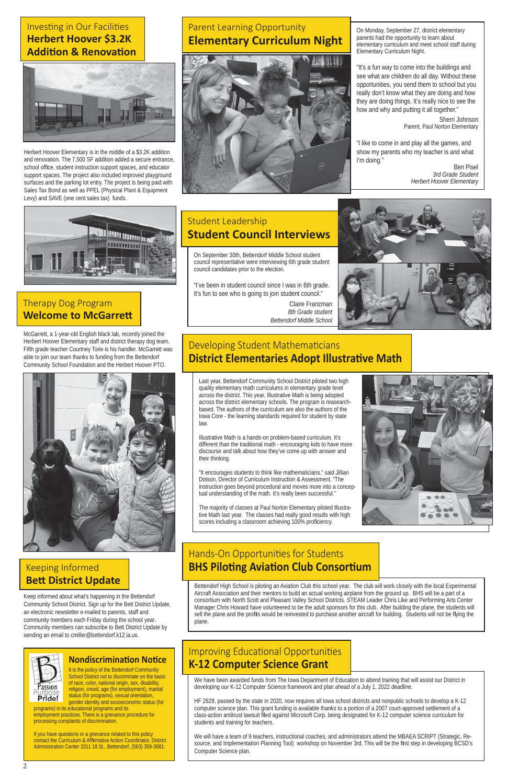It is the policy of the Bettendorf Community School District not to discriminate on the basis of race, color, national origin, sex, disability, religion, creed, age (for employment), marital status (for programs), sexual orientation, gender identity and socioeconomic status (for

Keep informed about what's happening in the Bettendorf Community School District. Sign up for the Bett District Update, an electronic newsletter e-mailed to parents, staff and community members each Friday during the school year. Community members can subscribe to Bett District Update by sending an email to cmiller@bettendorf.k12.ia.us.



### **Nondiscrimination Notice**

programs) in its educational programs and its employment practices. There is a grievance procedure for processing complaints of discrimination.

If you have questions or a grievance related to this policy contact the Curriculum & Affirmative Action Coordinator, District Administration Center 3311 18 St., Bettendorf, (563) 359-3681.

### Keeping Informed

### **BeƩ District Update**

### Investing in Our Facilities **Herbert Hoover \$3.2K Addition & Renovation**



Herbert Hoover Elementary is in the middle of a \$3.2K addition and renovation. The 7,500 SF addition added a secure entrance, school office, student instruction support spaces, and educator support spaces. The project also included improved playground surfaces and the parking lot entry. The project is being paid with Sales Tax Bond as well as PPEL (Physical Plant & Equipment Levy) and SAVE (one cent sales tax) funds.



### Therapy Dog Program **Welcome to McGarrett**

On Monday, September 27, district elementary parents had the opportunity to learn about elementary curriculum and meet school staff during Elementary Curriculum Night.

"It encourages students to think like mathematicians," said Jillian Dotson, Director of Curriculum Instruction & Assessment. "The instruction goes beyond procedural and moves more into a conceptual understanding of the math. It's really been successful."

"It's a fun way to come into the buildings and see what are children do all day. Without these opportunities, you send them to school but you really don't know what they are doing and how they are doing things. It's really nice to see the how and why and putting it all together."

The majority of classes at Paul Norton Elementary piloted Illustrative Math last year. The classes had really good results with high scores including a classroom achieving 100% proficiency.



# Hands-On Opportunities for Students **BHS Piloting Aviation Club Consortium**

Sherri Johnson Parent, Paul Norton Elementary

"I like to come in and play all the games, and show my parents who my teacher is and what I'm doing."

Ben Pisel *3rd Grade Student Herbert Hoover Elementary*

# Parent Learning Opportunity **Elementary Curriculum Night**



McGarrett, a 1-year-old English black lab, recently joined the Herbert Hoover Elementary staff and district therapy dog team. Fifth grade teacher Courtney Torie is his handler. McGarrett was able to join our team thanks to funding from the Bettendorf Community School Foundation and the Herbert Hoover PTO.



On September 30th, Bettendorf Middle School student council representative were interviewing 6th grade student council candidates prior to the election.

# Improving Educational Opportunities **K-12 Computer Science Grant**

"I've been in student council since I was in 6th grade. It's fun to see who is going to join student council."

> Claire Franzman  *8th Grade student Bettendorf Middle School*



# Developing Student Mathematicians **District Elementaries Adopt Illustrative Math**

# Student Leadership **Student Council Interviews**

Last year, Bettendorf Community School District piloted two high quality elementary math curriculums in elementary grade level across the district. This year, Illustrative Math is being adopted across the district elementary schools. The program is reasearchbased. The authors of the curriculum are also the authors of the Iowa Core - the learning standards required for student by state law.

Illustrative Math is a hands-on problem-based curriculum. It's different than the traditional math - encouraging kids to have more discourse and talk about how they've come up with answer and their thinking.

We have been awarded funds from The Iowa Department of Education to attend training that will assist our District in developing our K-12 Computer Science framework and plan ahead of a July 1, 2022 deadline.

HF 2629, passed by the state in 2020, now requires all Iowa school districts and nonpublic schools to develop a K-12 computer science plan. This grant funding is available thanks to a portion of a 2007 court-approved settlement of a class-action antitrust lawsuit filed against Microsoft Corp. being designated for K-12 computer science curriculum for students and training for teachers.

We will have a team of 9 teachers, instructional coaches, and administrators attend the MBAEA SCRIPT (Strategic, Resource, and Implementation Planning Tool) workshop on November 3rd. This will be the first step in developing BCSD's Computer Science plan.

Bettendorf High School is piloting an Aviation Club this school year. The club will work closely with the local Experimental Aircraft Association and their mentors to build an actual working airplane from the ground up. BHS will be a part of a consortium with North Scott and Pleasant Valley School Districts. STEAM Leader Chris Like and Performing Arts Center Manager Chris Howard have volunteered to be the adult sponsors for this club. After building the plane, the students will sell the plane and the profits would be reinvested to purchase another aircraft for building. Students will not be flying the plane.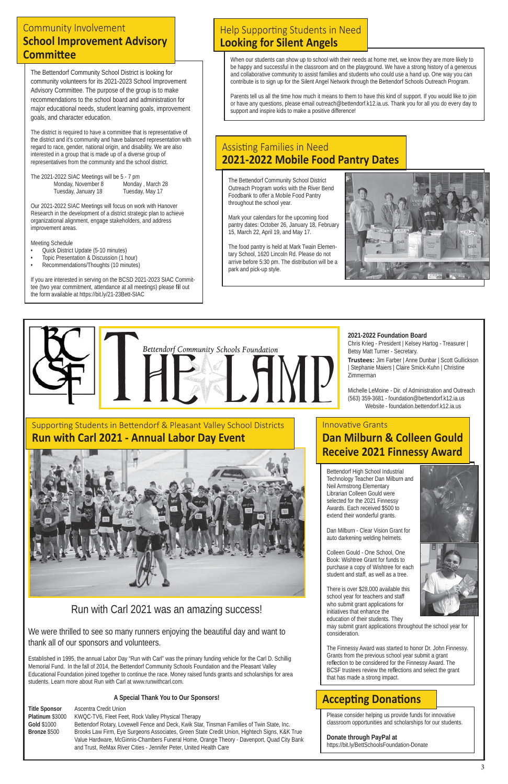The Bettendorf Community School District is looking for community volunteers for its 2021-2023 School Improvement Advisory Committee. The purpose of the group is to make recommendations to the school board and administration for major educational needs, student learning goals, improvement goals, and character education.

The 2021-2022 SIAC Meetings will be 5 - 7 pm Monday, November 8 Monday, March 28

The district is required to have a committee that is representative of the district and it's community and have balanced representation with regard to race, gender, national origin, and disability. We are also interested in a group that is made up of a diverse group of representatives from the community and the school district.

Tuesday, January 18 Tuesday, May 17

Our 2021-2022 SIAC Meetings will focus on work with Hanover Research in the development of a district strategic plan to achieve organizational alignment, engage stakeholders, and address improvement areas.

Meeting Schedule

- Quick District Update (5-10 minutes)
- Topic Presentation & Discussion (1 hour)
- Recommendations/Thoughts (10 minutes)

If you are interested in serving on the BCSD 2021-2023 SIAC Committee (two year commitment, attendance at all meetings) please fill out the form available at https://bit.ly/21-23Bett-SIAC

Bettendorf High School Industrial Technology Teacher Dan Milburn and Neil Armstrong Elementary Librarian Colleen Gould were selected for the 2021 Finnessy Awards. Each received \$500 to extend their wonderful grants.

Dan Milburn - Clear Vision Grant for auto darkening welding helmets.

Colleen Gould - One School, One Book: Wishtree Grant for funds to purchase a copy of Wishtree for each student and staff, as well as a tree.





# **Innovative Grants Dan Milburn & Colleen Gould Receive 2021 Finnessy Award**

There is over \$28,000 available this school year for teachers and staff who submit grant applications for initiatives that enhance the education of their students. They

## Assisting Families in Need **2021-2022 Mobile Food Pantry Dates**

may submit grant applications throughout the school year for consideration.

The Finnessy Award was started to honor Dr. John Finnessy. Grants from the previous school year submit a grant reflection to be considered for the Finnessy Award. The BCSF trustees review the reflections and select the grant that has made a strong impact.

# **Accepting Donations**

# Run with Carl 2021 was an amazing success!

We were thrilled to see so many runners enjoying the beautiful day and want to thank all of our sponsors and volunteers.

# Help Supporting Students in Need **Looking for Silent Angels**

Established in 1995, the annual Labor Day "Run with Carl" was the primary funding vehicle for the Carl D. Schillig Memorial Fund. In the fall of 2014, the Bettendorf Community Schools Foundation and the Pleasant Valley Educational Foundation joined together to continue the race. Money raised funds grants and scholarships for area students. Learn more about Run with Carl at www.runwithcarl.com.

### **A Special Thank You to Our Sponsors!**

| <b>Title Sponsor</b> | Ascentra Credit Union                                                                        |
|----------------------|----------------------------------------------------------------------------------------------|
| Platinum \$3000      | KWQC-TV6, Fleet Feet, Rock Valley Physical Therapy                                           |
| Gold \$1000          | Bettendorf Rotary, Lovewell Fence and Deck, Kwik Star, Tinsman Families of Twin State, Inc.  |
| Bronze \$500         | Brooks Law Firm, Eye Surgeons Associates, Green State Credit Union, Hightech Signs, K&K True |
|                      | Value Hardware, McGinnis-Chambers Funeral Home, Orange Theory - Davenport, Quad City Bank    |
|                      | and Trust, ReMax River Cities - Jennifer Peter, United Health Care                           |

### **2021-2022 Foundation Board**

Chris Krieg - President | Kelsey Hartog - Treasurer | Betsy Matt Turner - Secretary.

**Trustees:** Jim Farber | Anne Dunbar | Scott Gullickson | Stephanie Maiers | Claire Smick-Kuhn | Christine Zimmerman

Michelle LeMoine - Dir. of Administration and Outreach (563) 359-3681 - foundation@bettendorf.k12.ia.us Website - foundation.bettendorf.k12.ia.us

### Community Involvement **School Improvement Advisory CommiƩ ee**

The Bettendorf Community School District Outreach Program works with the River Bend Foodbank to offer a Mobile Food Pantry throughout the school year.

Mark your calendars for the upcoming food pantry dates: October 26, January 18, February 15, March 22, April 19, and May 17.

The food pantry is held at Mark Twain Elementary School, 1620 Lincoln Rd. Please do not arrive before 5:30 pm. The distribution will be a park and pick-up style.



When our students can show up to school with their needs at home met, we know they are more likely to be happy and successful in the classroom and on the playground. We have a strong history of a generous and collaborative community to assist families and students who could use a hand up. One way you can contribute is to sign up for the Silent Angel Network through the Bettendorf Schools Outreach Program.

Parents tell us all the time how much it means to them to have this kind of support. If you would like to join or have any questions, please email outreach@bettendorf.k12.ia.us. Thank you for all you do every day to support and inspire kids to make a positive difference!



### **Run with Carl 2021 - Annual Labor Day Event**



Please consider helping us provide funds for innovative classroom opportunities and scholarships for our students.

### **Donate through PayPal at**

https://bit.ly/BettSchoolsFoundation-Donate